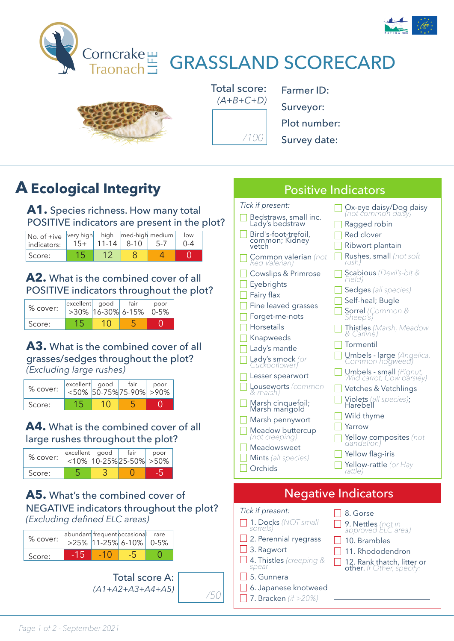



*(A+B+C+D) /100*

Farmer ID: Surveyor: Plot number: Survey date:

Positive Indicators

## **A Ecological Integrity**

A1. Species richness. How many total POSITIVE indicators are present in the plot?

| $ No. of +ive  very high   high   med-high  medium $<br>indicators: | $11 - 14$ | $8 - 10$ | low |
|---------------------------------------------------------------------|-----------|----------|-----|
| Score:                                                              |           |          |     |

#### **A2.** What is the combined cover of all POSITIVE indicators throughout the plot?

| % cover: | excellent good | $>30\%$ 16-30% 6-15% | fair | poor<br>$0 - 5%$ |
|----------|----------------|----------------------|------|------------------|
| Score:   |                |                      |      |                  |

#### **A3.** What is the combined cover of all grasses/sedges throughout the plot? *(Excluding large rushes)*

| $%$ cover: | excellent good | $<$ 50% 50-75% 75-90% > 90% | fair | poor |
|------------|----------------|-----------------------------|------|------|
| Score:     |                |                             |      |      |

#### **A4.** What is the combined cover of all large rushes throughout the plot?

| % cover: | excellent good | fair<br>$<10\%$ 10-25% 25-50% > 50% | poor |
|----------|----------------|-------------------------------------|------|
| Score:   |                |                                     |      |

#### **A5.** What's the combined cover of NEGATIVE indicators throughout the plot? *(Excluding defined ELC areas)*

| % cover: | abundant frequent occasional | >25% 11-25% 6-10% 0-5% | rare |
|----------|------------------------------|------------------------|------|
| Score:   |                              |                        |      |

Total score A: *(A1+A2+A3+A4+A5) /50*

| Tick if present:<br>Bedstraws, small inc.<br>Lady's bedstraw<br>Bird's-foot-trefoil,<br>common; Kidney<br>vetch<br><b>Common valerian</b> (not<br>Red Valerian)<br><b>Cowslips &amp; Primrose</b><br>Eyebrights<br>Fairy flax<br>Fine leaved grasses<br>Forget-me-nots<br>Horsetails<br>Knapweeds<br>Lady's mantle<br>Lady's smock (or<br>Cuckooflower)<br>Lesser spearwort<br><b>Louseworts</b> (common<br>& marsh)<br>Marsh cinquefoil;<br>Marsh marigold<br>Marsh pennywort<br>Meadow buttercup<br>(not creeping) | Ox-eye daisy/Dog daisy<br>(not common daisy)<br>Ragged robin<br>Red clover<br>Ribwort plantain<br><b>Rushes, small</b> (not soft<br>rush)<br><b>Scabious</b> (Devil's-bit &<br>Field)<br><b>Sedges</b> (all species)<br>Self-heal; Bugle<br>Sorrel (Common &<br>Sheep's)<br><b>Thistles</b> (Marsh, Meadow<br>& Carline)<br>Tormentil<br><b>Umbels - large</b> (Angelica,<br>Common hogweed)<br><b>Umbels - small</b> (Pignut,<br>Wild carrot, Cow parsley)<br>Vetches & Vetchlings<br>Violets (all species);<br>Harebell<br>Wild thyme<br>Yarrow<br><b>Yellow composites</b> (not<br>dandelion) |
|----------------------------------------------------------------------------------------------------------------------------------------------------------------------------------------------------------------------------------------------------------------------------------------------------------------------------------------------------------------------------------------------------------------------------------------------------------------------------------------------------------------------|--------------------------------------------------------------------------------------------------------------------------------------------------------------------------------------------------------------------------------------------------------------------------------------------------------------------------------------------------------------------------------------------------------------------------------------------------------------------------------------------------------------------------------------------------------------------------------------------------|
| Meadowsweet<br>Mints (all species)<br>Orchids                                                                                                                                                                                                                                                                                                                                                                                                                                                                        | Yellow flag-iris<br><b>Yellow-rattle</b> (or Hay<br>rattle)                                                                                                                                                                                                                                                                                                                                                                                                                                                                                                                                      |
|                                                                                                                                                                                                                                                                                                                                                                                                                                                                                                                      |                                                                                                                                                                                                                                                                                                                                                                                                                                                                                                                                                                                                  |
|                                                                                                                                                                                                                                                                                                                                                                                                                                                                                                                      | <b>Negative Indicators</b>                                                                                                                                                                                                                                                                                                                                                                                                                                                                                                                                                                       |
| Tick if present:<br>1. Docks (NOT small<br>sorrels)<br>2. Perennial ryegrass                                                                                                                                                                                                                                                                                                                                                                                                                                         | 8. Gorse<br><b>9. Nettles</b> (not in<br>approved ELC area)                                                                                                                                                                                                                                                                                                                                                                                                                                                                                                                                      |

12. Rank thatch, litter or other. *If Other, specify:*

- 4. Thistles *(creeping &*
- *spear* 5. Gunnera

- 6. Japanese knotweed
- -